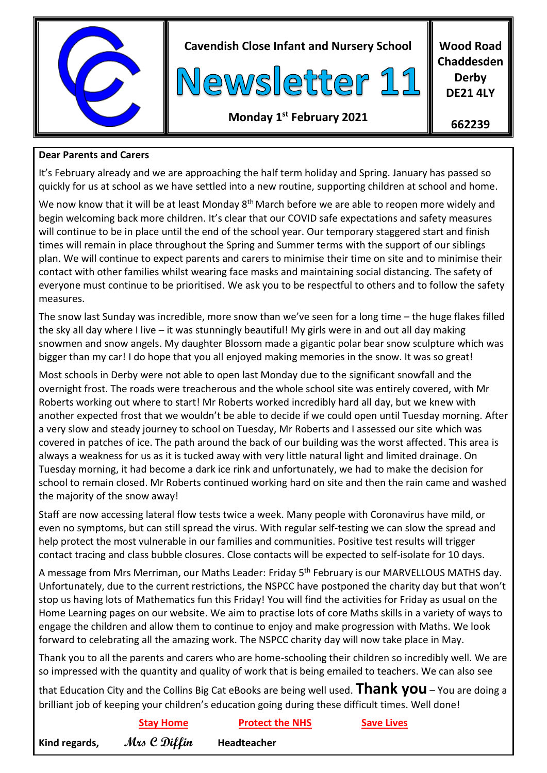

**Cavendish Close Infant and Nursery School**



**Wood Road Chaddesden Derby DE21 4LY**

# **Monday 1 st February 2021**

**662239**

## **Dear Parents and Carers**

It's February already and we are approaching the half term holiday and Spring. January has passed so quickly for us at school as we have settled into a new routine, supporting children at school and home.

We now know that it will be at least Monday 8<sup>th</sup> March before we are able to reopen more widely and begin welcoming back more children. It's clear that our COVID safe expectations and safety measures will continue to be in place until the end of the school year. Our temporary staggered start and finish times will remain in place throughout the Spring and Summer terms with the support of our siblings plan. We will continue to expect parents and carers to minimise their time on site and to minimise their contact with other families whilst wearing face masks and maintaining social distancing. The safety of everyone must continue to be prioritised. We ask you to be respectful to others and to follow the safety measures.

The snow last Sunday was incredible, more snow than we've seen for a long time – the huge flakes filled the sky all day where I live – it was stunningly beautiful! My girls were in and out all day making snowmen and snow angels. My daughter Blossom made a gigantic polar bear snow sculpture which was bigger than my car! I do hope that you all enjoyed making memories in the snow. It was so great!

Most schools in Derby were not able to open last Monday due to the significant snowfall and the overnight frost. The roads were treacherous and the whole school site was entirely covered, with Mr Roberts working out where to start! Mr Roberts worked incredibly hard all day, but we knew with another expected frost that we wouldn't be able to decide if we could open until Tuesday morning. After a very slow and steady journey to school on Tuesday, Mr Roberts and I assessed our site which was covered in patches of ice. The path around the back of our building was the worst affected. This area is always a weakness for us as it is tucked away with very little natural light and limited drainage. On Tuesday morning, it had become a dark ice rink and unfortunately, we had to make the decision for school to remain closed. Mr Roberts continued working hard on site and then the rain came and washed the majority of the snow away!

Staff are now accessing lateral flow tests twice a week. Many people with Coronavirus have mild, or even no symptoms, but can still spread the virus. With regular self-testing we can slow the spread and help protect the most vulnerable in our families and communities. Positive test results will trigger contact tracing and class bubble closures. Close contacts will be expected to self-isolate for 10 days.

A message from Mrs Merriman, our Maths Leader: Friday 5<sup>th</sup> February is our MARVELLOUS MATHS day. Unfortunately, due to the current restrictions, the NSPCC have postponed the charity day but that won't stop us having lots of Mathematics fun this Friday! You will find the activities for Friday as usual on the Home Learning pages on our website. We aim to practise lots of core Maths skills in a variety of ways to engage the children and allow them to continue to enjoy and make progression with Maths. We look forward to celebrating all the amazing work. The NSPCC charity day will now take place in May.

Thank you to all the parents and carers who are home-schooling their children so incredibly well. We are so impressed with the quantity and quality of work that is being emailed to teachers. We can also see

that Education City and the Collins Big Cat eBooks are being well used. **Thank you** – You are doing a brilliant job of keeping your children's education going during these difficult times. Well done!

|               | <b>Stay Home</b> | <b>Protect the NHS</b> | <b>Save Lives</b> |
|---------------|------------------|------------------------|-------------------|
| Kind regards, | Mrs C Diffin     | Headteacher            |                   |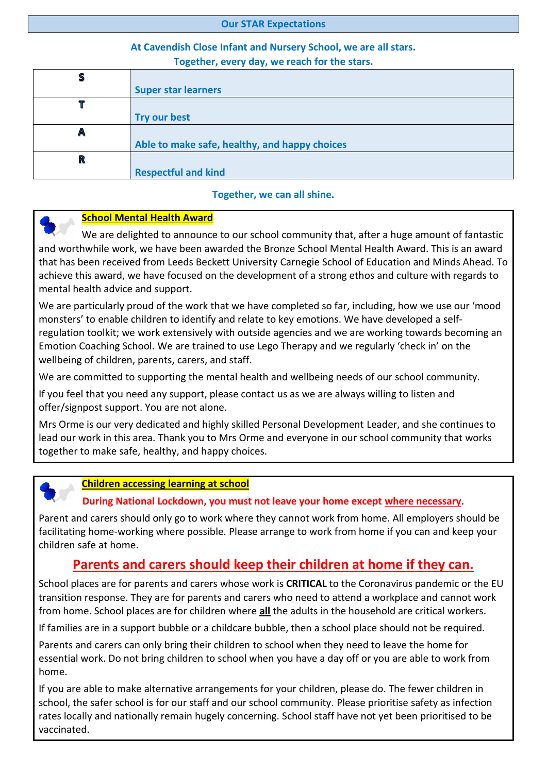#### **Our STAR Expectations**

## **At Cavendish Close Infant and Nursery School, we are all stars. Together, every day, we reach for the stars.**

| S |                                               |
|---|-----------------------------------------------|
|   | <b>Super star learners</b>                    |
| Т |                                               |
|   | <b>Try our best</b>                           |
| Α |                                               |
|   | Able to make safe, healthy, and happy choices |
| R |                                               |
|   | <b>Respectful and kind</b>                    |

#### **Together, we can all shine.**



### **School Mental Health Award**

 We are delighted to announce to our school community that, after a huge amount of fantastic and worthwhile work, we have been awarded the Bronze School Mental Health Award. This is an award that has been received from Leeds Beckett University Carnegie School of Education and Minds Ahead. To achieve this award, we have focused on the development of a strong ethos and culture with regards to mental health advice and support.

We are particularly proud of the work that we have completed so far, including, how we use our 'mood monsters' to enable children to identify and relate to key emotions. We have developed a selfregulation toolkit; we work extensively with outside agencies and we are working towards becoming an Emotion Coaching School. We are trained to use Lego Therapy and we regularly 'check in' on the wellbeing of children, parents, carers, and staff.

We are committed to supporting the mental health and wellbeing needs of our school community.

If you feel that you need any support, please contact us as we are always willing to listen and offer/signpost support. You are not alone.

Mrs Orme is our very dedicated and highly skilled Personal Development Leader, and she continues to lead our work in this area. Thank you to Mrs Orme and everyone in our school community that works together to make safe, healthy, and happy choices.

### **Children accessing learning at school**

#### **During National Lockdown, you must not leave your home except where necessary.**

Parent and carers should only go to work where they cannot work from home. All employers should be facilitating home-working where possible. Please arrange to work from home if you can and keep your children safe at home.

# **Parents and carers should keep their children at home if they can.**

School places are for parents and carers whose work is **CRITICAL** to the Coronavirus pandemic or the EU transition response. They are for parents and carers who need to attend a workplace and cannot work from home. School places are for children where **all** the adults in the household are critical workers.

If families are in a support bubble or a childcare bubble, then a school place should not be required.

Parents and carers can only bring their children to school when they need to leave the home for essential work. Do not bring children to school when you have a day off or you are able to work from home.

If you are able to make alternative arrangements for your children, please do. The fewer children in school, the safer school is for our staff and our school community. Please prioritise safety as infection rates locally and nationally remain hugely concerning. School staff have not yet been prioritised to be vaccinated.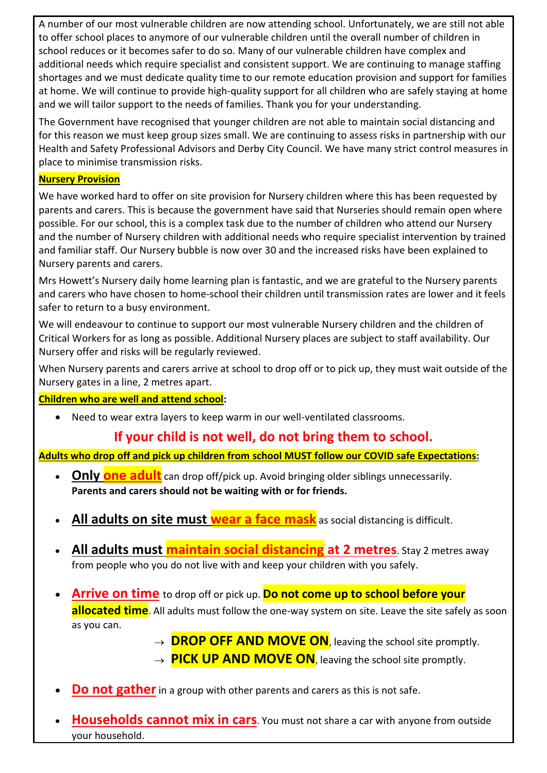A number of our most vulnerable children are now attending school. Unfortunately, we are still not able to offer school places to anymore of our vulnerable children until the overall number of children in school reduces or it becomes safer to do so. Many of our vulnerable children have complex and additional needs which require specialist and consistent support. We are continuing to manage staffing shortages and we must dedicate quality time to our remote education provision and support for families at home. We will continue to provide high-quality support for all children who are safely staying at home and we will tailor support to the needs of families. Thank you for your understanding.

The Government have recognised that younger children are not able to maintain social distancing and for this reason we must keep group sizes small. We are continuing to assess risks in partnership with our Health and Safety Professional Advisors and Derby City Council. We have many strict control measures in place to minimise transmission risks.

## **Nursery Provision**

We have worked hard to offer on site provision for Nursery children where this has been requested by parents and carers. This is because the government have said that Nurseries should remain open where possible. For our school, this is a complex task due to the number of children who attend our Nursery and the number of Nursery children with additional needs who require specialist intervention by trained and familiar staff. Our Nursery bubble is now over 30 and the increased risks have been explained to Nursery parents and carers.

Mrs Howett's Nursery daily home learning plan is fantastic, and we are grateful to the Nursery parents and carers who have chosen to home-school their children until transmission rates are lower and it feels safer to return to a busy environment.

We will endeavour to continue to support our most vulnerable Nursery children and the children of Critical Workers for as long as possible. Additional Nursery places are subject to staff availability. Our Nursery offer and risks will be regularly reviewed.

When Nursery parents and carers arrive at school to drop off or to pick up, they must wait outside of the Nursery gates in a line, 2 metres apart.

### **Children who are well and attend school:**

Need to wear extra layers to keep warm in our well-ventilated classrooms.

# **If your child is not well, do not bring them to school.**

**Adults who drop off and pick up children from school MUST follow our COVID safe Expectations:**

- **Only one adult** can drop off/pick up. Avoid bringing older siblings unnecessarily. **Parents and carers should not be waiting with or for friends.**
- **All adults on site must wear a face mask** as social distancing is difficult.
- **All adults must maintain social distancing at 2 metres**. Stay 2 metres away from people who you do not live with and keep your children with you safely.
- **Arrive on time** to drop off or pick up. **Do not come up to school before your allocated time**. All adults must follow the one-way system on site. Leave the site safely as soon as you can.

 $\rightarrow$  **DROP OFF AND MOVE ON**, leaving the school site promptly.

- $\rightarrow$  **PICK UP AND MOVE ON**, leaving the school site promptly.
- **Do not gather** in a group with other parents and carers as this is not safe.
- **Households cannot mix in cars**. You must not share a car with anyone from outside your household.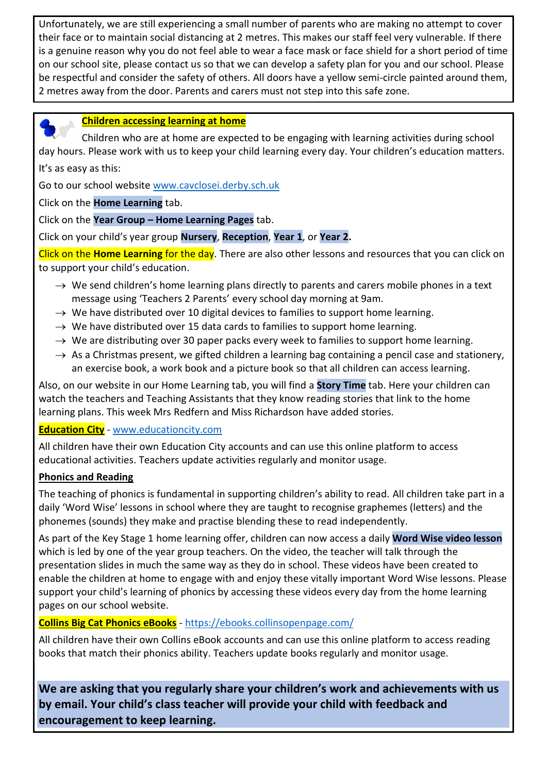Unfortunately, we are still experiencing a small number of parents who are making no attempt to cover their face or to maintain social distancing at 2 metres. This makes our staff feel very vulnerable. If there is a genuine reason why you do not feel able to wear a face mask or face shield for a short period of time on our school site, please contact us so that we can develop a safety plan for you and our school. Please be respectful and consider the safety of others. All doors have a yellow semi-circle painted around them, 2 metres away from the door. Parents and carers must not step into this safe zone.



### **Children accessing learning at home**

 Children who are at home are expected to be engaging with learning activities during school day hours. Please work with us to keep your child learning every day. Your children's education matters.

It's as easy as this:

Go to our school website [www.cavclosei.derby.sch.uk](http://www.cavclosei.derby.sch.uk/)

Click on the **Home Learning** tab.

Click on the **Year Group – Home Learning Pages** tab.

Click on your child's year group **Nursery**, **Reception**, **Year 1**, or **Year 2.**

Click on the **Home Learning** for the day. There are also other lessons and resources that you can click on to support your child's education.

- $\rightarrow$  We send children's home learning plans directly to parents and carers mobile phones in a text message using 'Teachers 2 Parents' every school day morning at 9am.
- $\rightarrow$  We have distributed over 10 digital devices to families to support home learning.
- $\rightarrow$  We have distributed over 15 data cards to families to support home learning.
- $\rightarrow$  We are distributing over 30 paper packs every week to families to support home learning.
- $\rightarrow$  As a Christmas present, we gifted children a learning bag containing a pencil case and stationery, an exercise book, a work book and a picture book so that all children can access learning.

Also, on our website in our Home Learning tab, you will find a **Story Time** tab. Here your children can watch the teachers and Teaching Assistants that they know reading stories that link to the home learning plans. This week Mrs Redfern and Miss Richardson have added stories.

## **Education City** - [www.educationcity.com](http://www.educationcity.com/)

All children have their own Education City accounts and can use this online platform to access educational activities. Teachers update activities regularly and monitor usage.

### **Phonics and Reading**

The teaching of phonics is fundamental in supporting children's ability to read. All children take part in a daily 'Word Wise' lessons in school where they are taught to recognise graphemes (letters) and the phonemes (sounds) they make and practise blending these to read independently.

As part of the Key Stage 1 home learning offer, children can now access a daily **Word Wise video lesson** which is led by one of the year group teachers. On the video, the teacher will talk through the presentation slides in much the same way as they do in school. These videos have been created to enable the children at home to engage with and enjoy these vitally important Word Wise lessons. Please support your child's learning of phonics by accessing these videos every day from the home learning pages on our school website.

## **Collins Big Cat Phonics eBooks** - <https://ebooks.collinsopenpage.com/>

All children have their own Collins eBook accounts and can use this online platform to access reading books that match their phonics ability. Teachers update books regularly and monitor usage.

**We are asking that you regularly share your children's work and achievements with us by email. Your child's class teacher will provide your child with feedback and encouragement to keep learning.**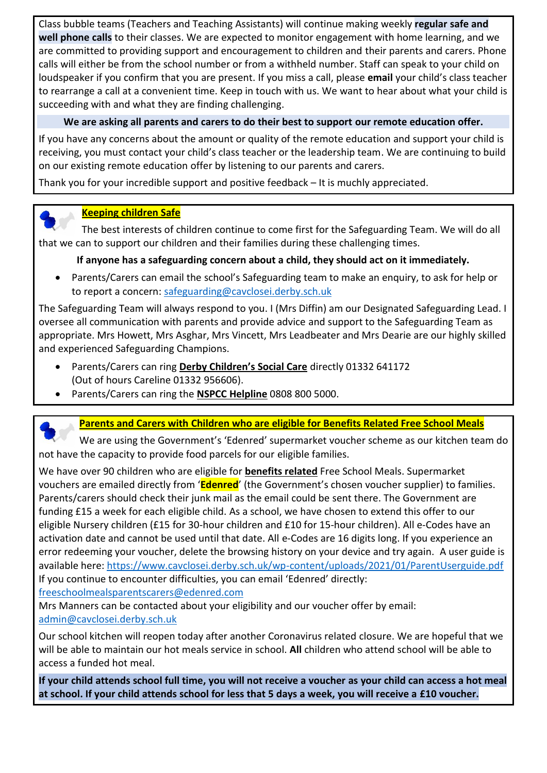Class bubble teams (Teachers and Teaching Assistants) will continue making weekly **regular safe and well phone calls** to their classes. We are expected to monitor engagement with home learning, and we are committed to providing support and encouragement to children and their parents and carers. Phone calls will either be from the school number or from a withheld number. Staff can speak to your child on loudspeaker if you confirm that you are present. If you miss a call, please **email** your child's class teacher to rearrange a call at a convenient time. Keep in touch with us. We want to hear about what your child is succeeding with and what they are finding challenging.

## **We are asking all parents and carers to do their best to support our remote education offer.**

If you have any concerns about the amount or quality of the remote education and support your child is receiving, you must contact your child's class teacher or the leadership team. We are continuing to build on our existing remote education offer by listening to our parents and carers.

Thank you for your incredible support and positive feedback – It is muchly appreciated.



## **Keeping children Safe**

 The best interests of children continue to come first for the Safeguarding Team. We will do all that we can to support our children and their families during these challenging times.

## **If anyone has a safeguarding concern about a child, they should act on it immediately.**

 Parents/Carers can email the school's Safeguarding team to make an enquiry, to ask for help or to report a concern: [safeguarding@cavclosei.derby.sch.uk](mailto:safeguarding@cavclosei.derby.sch.uk)

The Safeguarding Team will always respond to you. I (Mrs Diffin) am our Designated Safeguarding Lead. I oversee all communication with parents and provide advice and support to the Safeguarding Team as appropriate. Mrs Howett, Mrs Asghar, Mrs Vincett, Mrs Leadbeater and Mrs Dearie are our highly skilled and experienced Safeguarding Champions.

- Parents/Carers can ring **Derby Children's Social Care** directly 01332 641172 (Out of hours Careline 01332 956606).
- Parents/Carers can ring the **NSPCC Helpline** 0808 800 5000.



# **Parents and Carers with Children who are eligible for Benefits Related Free School Meals**

 We are using the Government's 'Edenred' supermarket voucher scheme as our kitchen team do not have the capacity to provide food parcels for our eligible families.

We have over 90 children who are eligible for **benefits related** Free School Meals. Supermarket vouchers are emailed directly from '**Edenred**' (the Government's chosen voucher supplier) to families. Parents/carers should check their junk mail as the email could be sent there. The Government are funding £15 a week for each eligible child. As a school, we have chosen to extend this offer to our eligible Nursery children (£15 for 30-hour children and £10 for 15-hour children). All e-Codes have an activation date and cannot be used until that date. All e-Codes are 16 digits long. If you experience an error redeeming your voucher, delete the browsing history on your device and try again. A user guide is available here:<https://www.cavclosei.derby.sch.uk/wp-content/uploads/2021/01/ParentUserguide.pdf> If you continue to encounter difficulties, you can email 'Edenred' directly: [freeschoolmealsparentscarers@edenred.com](mailto:freeschoolmealsparentscarers@edenred.com) 

Mrs Manners can be contacted about your eligibility and our voucher offer by email: [admin@cavclosei.derby.sch.uk](mailto:admin@cavclosei.derby.sch.uk)

Our school kitchen will reopen today after another Coronavirus related closure. We are hopeful that we will be able to maintain our hot meals service in school. **All** children who attend school will be able to access a funded hot meal.

**If your child attends school full time, you will not receive a voucher as your child can access a hot meal at school. If your child attends school for less that 5 days a week, you will receive a £10 voucher.**